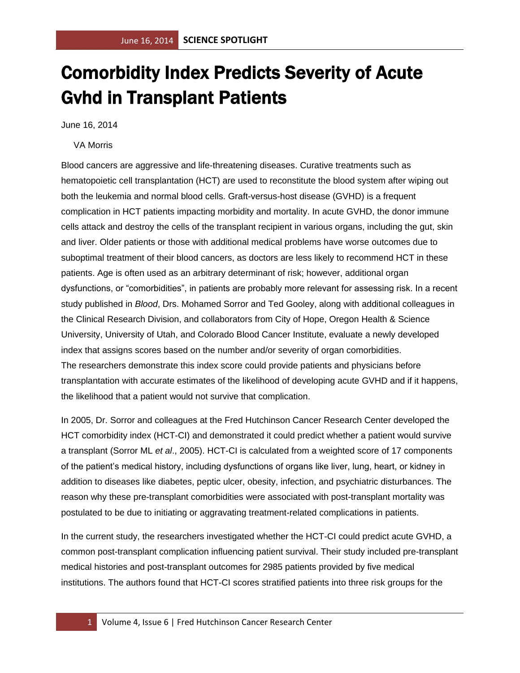## Comorbidity Index Predicts Severity of Acute Gvhd in Transplant Patients

June 16, 2014

VA Morris

Blood cancers are aggressive and life-threatening diseases. Curative treatments such as hematopoietic cell transplantation (HCT) are used to reconstitute the blood system after wiping out both the leukemia and normal blood cells. Graft-versus-host disease (GVHD) is a frequent complication in HCT patients impacting morbidity and mortality. In acute GVHD, the donor immune cells attack and destroy the cells of the transplant recipient in various organs, including the gut, skin and liver. Older patients or those with additional medical problems have worse outcomes due to suboptimal treatment of their blood cancers, as doctors are less likely to recommend HCT in these patients. Age is often used as an arbitrary determinant of risk; however, additional organ dysfunctions, or "comorbidities", in patients are probably more relevant for assessing risk. In a recent study published in *Blood*, Drs. Mohamed Sorror and Ted Gooley, along with additional colleagues in the Clinical Research Division, and collaborators from City of Hope, Oregon Health & Science University, University of Utah, and Colorado Blood Cancer Institute, evaluate a newly developed index that assigns scores based on the number and/or severity of organ comorbidities. The researchers demonstrate this index score could provide patients and physicians before transplantation with accurate estimates of the likelihood of developing acute GVHD and if it happens, the likelihood that a patient would not survive that complication.

In 2005, Dr. Sorror and colleagues at the Fred Hutchinson Cancer Research Center developed the HCT comorbidity index (HCT-CI) and demonstrated it could predict whether a patient would survive a transplant (Sorror ML *et al*., 2005). HCT-CI is calculated from a weighted score of 17 components of the patient's medical history, including dysfunctions of organs like liver, lung, heart, or kidney in addition to diseases like diabetes, peptic ulcer, obesity, infection, and psychiatric disturbances. The reason why these pre-transplant comorbidities were associated with post-transplant mortality was postulated to be due to initiating or aggravating treatment-related complications in patients.

In the current study, the researchers investigated whether the HCT-CI could predict acute GVHD, a common post-transplant complication influencing patient survival. Their study included pre-transplant medical histories and post-transplant outcomes for 2985 patients provided by five medical institutions. The authors found that HCT-CI scores stratified patients into three risk groups for the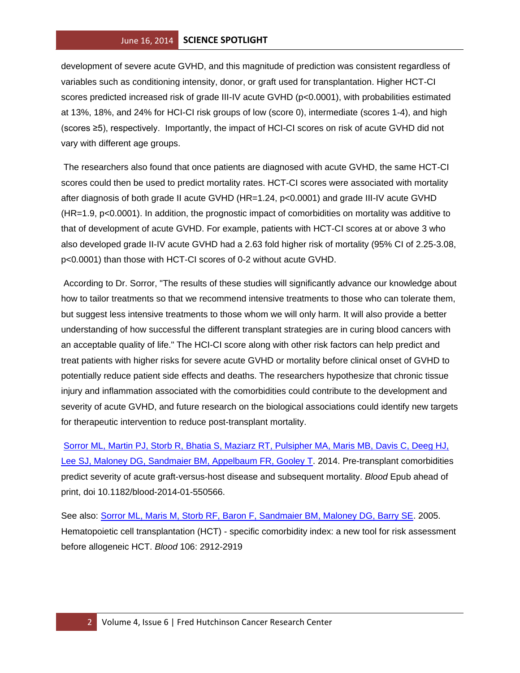## June 16, 2014 **SCIENCE SPOTLIGHT**

development of severe acute GVHD, and this magnitude of prediction was consistent regardless of variables such as conditioning intensity, donor, or graft used for transplantation. Higher HCT-CI scores predicted increased risk of grade III-IV acute GVHD (p<0.0001), with probabilities estimated at 13%, 18%, and 24% for HCI-CI risk groups of low (score 0), intermediate (scores 1-4), and high (scores ≥5), respectively. Importantly, the impact of HCI-CI scores on risk of acute GVHD did not vary with different age groups.

The researchers also found that once patients are diagnosed with acute GVHD, the same HCT-CI scores could then be used to predict mortality rates. HCT-CI scores were associated with mortality after diagnosis of both grade II acute GVHD (HR=1.24, p<0.0001) and grade III-IV acute GVHD (HR=1.9, p<0.0001). In addition, the prognostic impact of comorbidities on mortality was additive to that of development of acute GVHD. For example, patients with HCT-CI scores at or above 3 who also developed grade II-IV acute GVHD had a 2.63 fold higher risk of mortality (95% CI of 2.25-3.08, p<0.0001) than those with HCT-CI scores of 0-2 without acute GVHD.

According to Dr. Sorror, "The results of these studies will significantly advance our knowledge about how to tailor treatments so that we recommend intensive treatments to those who can tolerate them, but suggest less intensive treatments to those whom we will only harm. It will also provide a better understanding of how successful the different transplant strategies are in curing blood cancers with an acceptable quality of life." The HCI-CI score along with other risk factors can help predict and treat patients with higher risks for severe acute GVHD or mortality before clinical onset of GVHD to potentially reduce patient side effects and deaths. The researchers hypothesize that chronic tissue injury and inflammation associated with the comorbidities could contribute to the development and severity of acute GVHD, and future research on the biological associations could identify new targets for therapeutic intervention to reduce post-transplant mortality.

[Sorror ML, Martin PJ, Storb R, Bhatia S, Maziarz RT, Pulsipher MA, Maris MB, Davis C, Deeg HJ,](http://www.ncbi.nlm.nih.gov/pubmed/24797298?otool=fhcrclib)  [Lee SJ, Maloney DG, Sandmaier BM, Appelbaum FR, Gooley T.](http://www.ncbi.nlm.nih.gov/pubmed/24797298?otool=fhcrclib) 2014. Pre-transplant comorbidities predict severity of acute graft-versus-host disease and subsequent mortality. *Blood* Epub ahead of print, doi 10.1182/blood-2014-01-550566.

See also: [Sorror ML, Maris M, Storb RF, Baron F, Sandmaier BM, Maloney DG, Barry SE.](http://www.ncbi.nlm.nih.gov/pubmed/15994282?otool=fhcrclib) 2005. Hematopoietic cell transplantation (HCT) - specific comorbidity index: a new tool for risk assessment before allogeneic HCT. *Blood* 106: 2912-2919